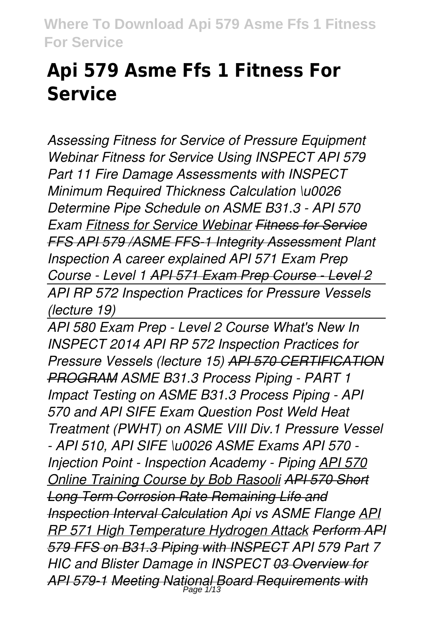## **Api 579 Asme Ffs 1 Fitness For Service**

*Assessing Fitness for Service of Pressure Equipment Webinar Fitness for Service Using INSPECT API 579 Part 11 Fire Damage Assessments with INSPECT Minimum Required Thickness Calculation \u0026 Determine Pipe Schedule on ASME B31.3 - API 570 Exam Fitness for Service Webinar Fitness for Service FFS API 579 /ASME FFS-1 Integrity Assessment Plant Inspection A career explained API 571 Exam Prep Course - Level 1 API 571 Exam Prep Course - Level 2 API RP 572 Inspection Practices for Pressure Vessels (lecture 19)*

*API 580 Exam Prep - Level 2 Course What's New In INSPECT 2014 API RP 572 Inspection Practices for Pressure Vessels (lecture 15) API 570 CERTIFICATION PROGRAM ASME B31.3 Process Piping - PART 1 Impact Testing on ASME B31.3 Process Piping - API 570 and API SIFE Exam Question Post Weld Heat Treatment (PWHT) on ASME VIII Div.1 Pressure Vessel - API 510, API SIFE \u0026 ASME Exams API 570 - Injection Point - Inspection Academy - Piping API 570 Online Training Course by Bob Rasooli API 570 Short Long Term Corrosion Rate Remaining Life and Inspection Interval Calculation Api vs ASME Flange API RP 571 High Temperature Hydrogen Attack Perform API 579 FFS on B31.3 Piping with INSPECT API 579 Part 7 HIC and Blister Damage in INSPECT 03 Overview for API 579-1 Meeting National Board Requirements with* Page 1/13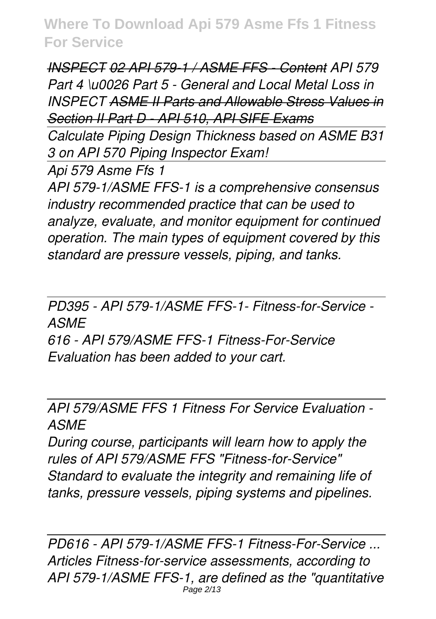*INSPECT 02 API 579-1 / ASME FFS - Content API 579 Part 4 \u0026 Part 5 - General and Local Metal Loss in INSPECT ASME II Parts and Allowable Stress Values in Section II Part D - API 510, API SIFE Exams*

*Calculate Piping Design Thickness based on ASME B31 3 on API 570 Piping Inspector Exam!*

*Api 579 Asme Ffs 1*

*API 579-1/ASME FFS-1 is a comprehensive consensus industry recommended practice that can be used to analyze, evaluate, and monitor equipment for continued operation. The main types of equipment covered by this standard are pressure vessels, piping, and tanks.*

*PD395 - API 579-1/ASME FFS-1- Fitness-for-Service - ASME 616 - API 579/ASME FFS-1 Fitness-For-Service Evaluation has been added to your cart.*

## *API 579/ASME FFS 1 Fitness For Service Evaluation - ASME*

*During course, participants will learn how to apply the rules of API 579/ASME FFS "Fitness-for-Service" Standard to evaluate the integrity and remaining life of tanks, pressure vessels, piping systems and pipelines.*

*PD616 - API 579-1/ASME FFS-1 Fitness-For-Service ... Articles Fitness-for-service assessments, according to API 579-1/ASME FFS-1, are defined as the "quantitative* Page 2/13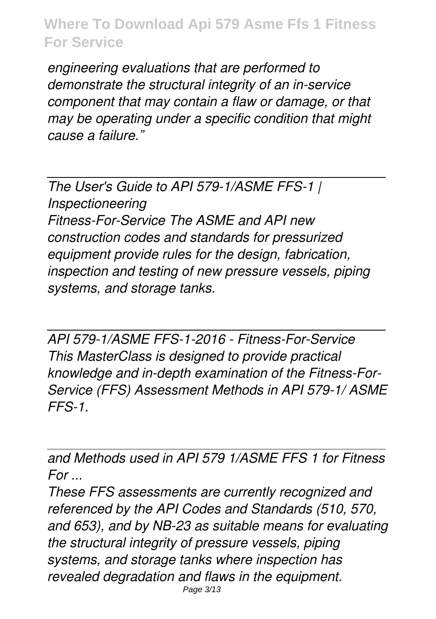*engineering evaluations that are performed to demonstrate the structural integrity of an in-service component that may contain a flaw or damage, or that may be operating under a specific condition that might cause a failure."*

*The User's Guide to API 579-1/ASME FFS-1 | Inspectioneering Fitness-For-Service The ASME and API new construction codes and standards for pressurized equipment provide rules for the design, fabrication, inspection and testing of new pressure vessels, piping systems, and storage tanks.*

*API 579-1/ASME FFS-1-2016 - Fitness-For-Service This MasterClass is designed to provide practical knowledge and in-depth examination of the Fitness-For-Service (FFS) Assessment Methods in API 579-1/ ASME FFS-1.*

*and Methods used in API 579 1/ASME FFS 1 for Fitness For ...*

*These FFS assessments are currently recognized and referenced by the API Codes and Standards (510, 570, and 653), and by NB-23 as suitable means for evaluating the structural integrity of pressure vessels, piping systems, and storage tanks where inspection has revealed degradation and flaws in the equipment.* Page 3/13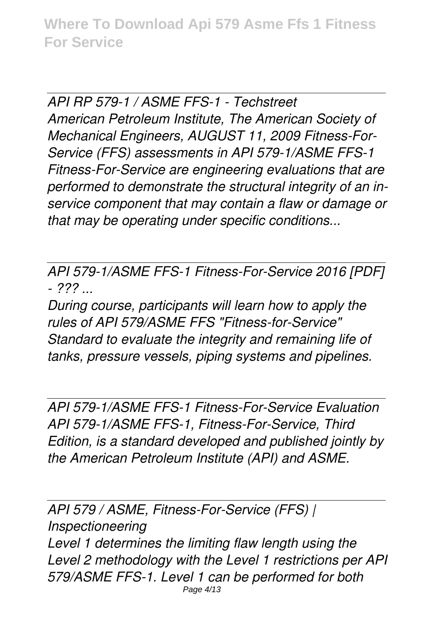*API RP 579-1 / ASME FFS-1 - Techstreet American Petroleum Institute, The American Society of Mechanical Engineers, AUGUST 11, 2009 Fitness-For-Service (FFS) assessments in API 579-1/ASME FFS-1 Fitness-For-Service are engineering evaluations that are performed to demonstrate the structural integrity of an inservice component that may contain a flaw or damage or that may be operating under specific conditions...*

*API 579-1/ASME FFS-1 Fitness-For-Service 2016 [PDF] - ??? ...*

*During course, participants will learn how to apply the rules of API 579/ASME FFS "Fitness-for-Service" Standard to evaluate the integrity and remaining life of tanks, pressure vessels, piping systems and pipelines.*

*API 579-1/ASME FFS-1 Fitness-For-Service Evaluation API 579-1/ASME FFS-1, Fitness-For-Service, Third Edition, is a standard developed and published jointly by the American Petroleum Institute (API) and ASME.*

*API 579 / ASME, Fitness-For-Service (FFS) | Inspectioneering Level 1 determines the limiting flaw length using the Level 2 methodology with the Level 1 restrictions per API 579/ASME FFS-1. Level 1 can be performed for both* Page 4/13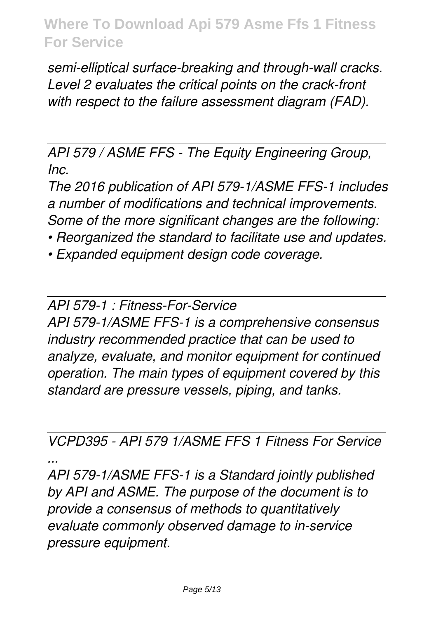*semi-elliptical surface-breaking and through-wall cracks. Level 2 evaluates the critical points on the crack-front with respect to the failure assessment diagram (FAD).*

*API 579 / ASME FFS - The Equity Engineering Group, Inc.*

*The 2016 publication of API 579-1/ASME FFS-1 includes a number of modifications and technical improvements. Some of the more significant changes are the following:*

*• Reorganized the standard to facilitate use and updates.*

*• Expanded equipment design code coverage.*

*API 579-1 : Fitness-For-Service*

*API 579-1/ASME FFS-1 is a comprehensive consensus industry recommended practice that can be used to analyze, evaluate, and monitor equipment for continued operation. The main types of equipment covered by this standard are pressure vessels, piping, and tanks.*

*VCPD395 - API 579 1/ASME FFS 1 Fitness For Service ...*

*API 579-1/ASME FFS-1 is a Standard jointly published by API and ASME. The purpose of the document is to provide a consensus of methods to quantitatively evaluate commonly observed damage to in-service pressure equipment.*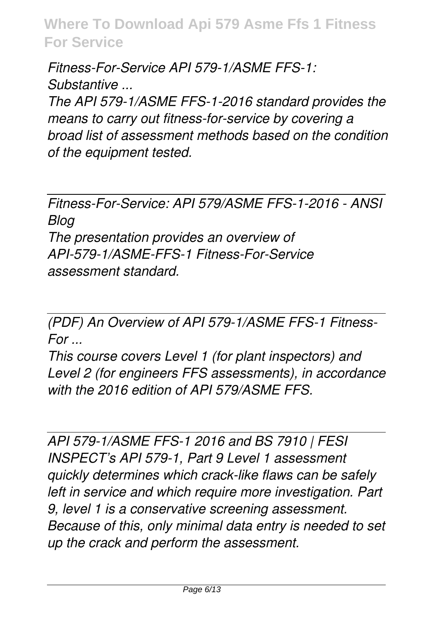*Fitness-For-Service API 579-1/ASME FFS-1: Substantive ... The API 579-1/ASME FFS-1-2016 standard provides the means to carry out fitness-for-service by covering a broad list of assessment methods based on the condition of the equipment tested.*

*Fitness-For-Service: API 579/ASME FFS-1-2016 - ANSI Blog The presentation provides an overview of API-579-1/ASME-FFS-1 Fitness-For-Service assessment standard.*

*(PDF) An Overview of API 579-1/ASME FFS-1 Fitness-For ...*

*This course covers Level 1 (for plant inspectors) and Level 2 (for engineers FFS assessments), in accordance with the 2016 edition of API 579/ASME FFS.*

*API 579-1/ASME FFS-1 2016 and BS 7910 | FESI INSPECT's API 579-1, Part 9 Level 1 assessment quickly determines which crack-like flaws can be safely left in service and which require more investigation. Part 9, level 1 is a conservative screening assessment. Because of this, only minimal data entry is needed to set up the crack and perform the assessment.*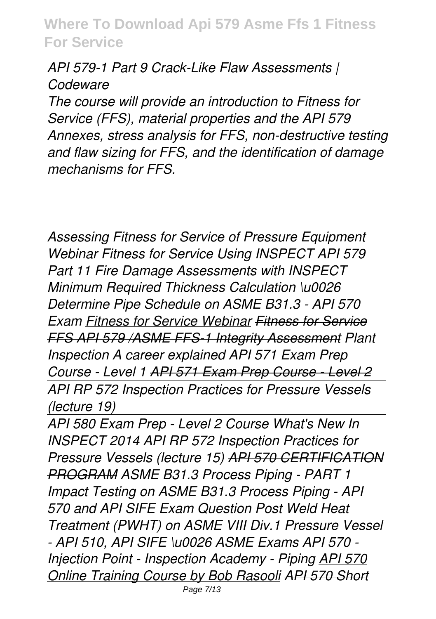*API 579-1 Part 9 Crack-Like Flaw Assessments | Codeware*

*The course will provide an introduction to Fitness for Service (FFS), material properties and the API 579 Annexes, stress analysis for FFS, non-destructive testing and flaw sizing for FFS, and the identification of damage mechanisms for FFS.*

*Assessing Fitness for Service of Pressure Equipment Webinar Fitness for Service Using INSPECT API 579 Part 11 Fire Damage Assessments with INSPECT Minimum Required Thickness Calculation \u0026 Determine Pipe Schedule on ASME B31.3 - API 570 Exam Fitness for Service Webinar Fitness for Service FFS API 579 /ASME FFS-1 Integrity Assessment Plant Inspection A career explained API 571 Exam Prep Course - Level 1 API 571 Exam Prep Course - Level 2 API RP 572 Inspection Practices for Pressure Vessels (lecture 19)*

*API 580 Exam Prep - Level 2 Course What's New In INSPECT 2014 API RP 572 Inspection Practices for Pressure Vessels (lecture 15) API 570 CERTIFICATION PROGRAM ASME B31.3 Process Piping - PART 1 Impact Testing on ASME B31.3 Process Piping - API 570 and API SIFE Exam Question Post Weld Heat Treatment (PWHT) on ASME VIII Div.1 Pressure Vessel - API 510, API SIFE \u0026 ASME Exams API 570 - Injection Point - Inspection Academy - Piping API 570 Online Training Course by Bob Rasooli API 570 Short*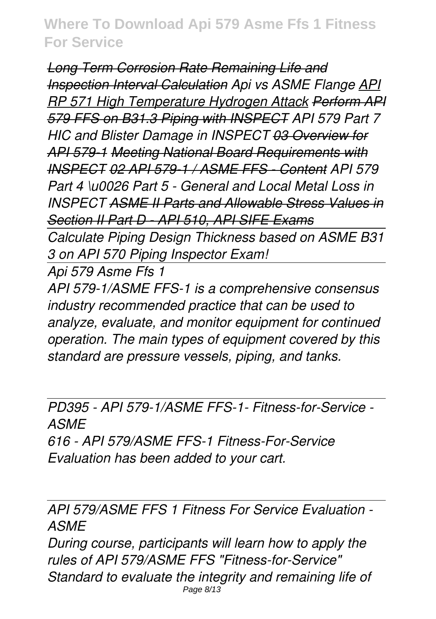*Long Term Corrosion Rate Remaining Life and Inspection Interval Calculation Api vs ASME Flange API RP 571 High Temperature Hydrogen Attack Perform API 579 FFS on B31.3 Piping with INSPECT API 579 Part 7 HIC and Blister Damage in INSPECT 03 Overview for API 579-1 Meeting National Board Requirements with INSPECT 02 API 579-1 / ASME FFS - Content API 579 Part 4 \u0026 Part 5 - General and Local Metal Loss in INSPECT ASME II Parts and Allowable Stress Values in Section II Part D - API 510, API SIFE Exams*

*Calculate Piping Design Thickness based on ASME B31 3 on API 570 Piping Inspector Exam!*

*Api 579 Asme Ffs 1*

*API 579-1/ASME FFS-1 is a comprehensive consensus industry recommended practice that can be used to analyze, evaluate, and monitor equipment for continued operation. The main types of equipment covered by this standard are pressure vessels, piping, and tanks.*

*PD395 - API 579-1/ASME FFS-1- Fitness-for-Service - ASME 616 - API 579/ASME FFS-1 Fitness-For-Service Evaluation has been added to your cart.*

*API 579/ASME FFS 1 Fitness For Service Evaluation - ASME*

*During course, participants will learn how to apply the rules of API 579/ASME FFS "Fitness-for-Service" Standard to evaluate the integrity and remaining life of* Page 8/13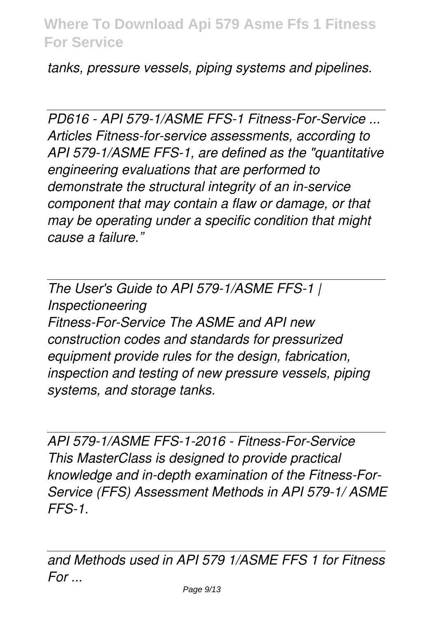*tanks, pressure vessels, piping systems and pipelines.*

*PD616 - API 579-1/ASME FFS-1 Fitness-For-Service ... Articles Fitness-for-service assessments, according to API 579-1/ASME FFS-1, are defined as the "quantitative engineering evaluations that are performed to demonstrate the structural integrity of an in-service component that may contain a flaw or damage, or that may be operating under a specific condition that might cause a failure."*

*The User's Guide to API 579-1/ASME FFS-1 | Inspectioneering Fitness-For-Service The ASME and API new construction codes and standards for pressurized equipment provide rules for the design, fabrication, inspection and testing of new pressure vessels, piping systems, and storage tanks.*

*API 579-1/ASME FFS-1-2016 - Fitness-For-Service This MasterClass is designed to provide practical knowledge and in-depth examination of the Fitness-For-Service (FFS) Assessment Methods in API 579-1/ ASME FFS-1.*

*and Methods used in API 579 1/ASME FFS 1 for Fitness For ...*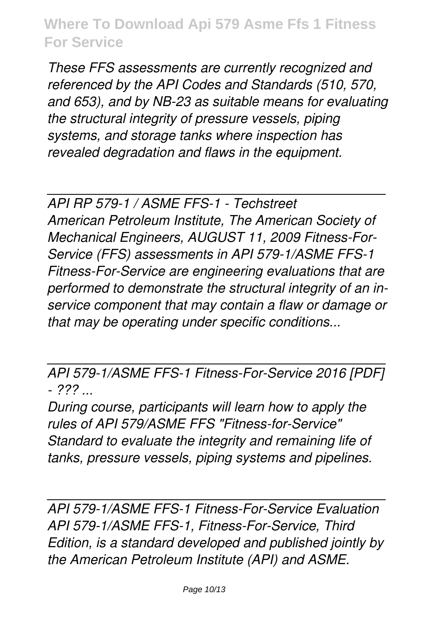*These FFS assessments are currently recognized and referenced by the API Codes and Standards (510, 570, and 653), and by NB-23 as suitable means for evaluating the structural integrity of pressure vessels, piping systems, and storage tanks where inspection has revealed degradation and flaws in the equipment.*

*API RP 579-1 / ASME FFS-1 - Techstreet*

*American Petroleum Institute, The American Society of Mechanical Engineers, AUGUST 11, 2009 Fitness-For-Service (FFS) assessments in API 579-1/ASME FFS-1 Fitness-For-Service are engineering evaluations that are performed to demonstrate the structural integrity of an inservice component that may contain a flaw or damage or that may be operating under specific conditions...*

*API 579-1/ASME FFS-1 Fitness-For-Service 2016 [PDF] - ??? ...*

*During course, participants will learn how to apply the rules of API 579/ASME FFS "Fitness-for-Service" Standard to evaluate the integrity and remaining life of tanks, pressure vessels, piping systems and pipelines.*

*API 579-1/ASME FFS-1 Fitness-For-Service Evaluation API 579-1/ASME FFS-1, Fitness-For-Service, Third Edition, is a standard developed and published jointly by the American Petroleum Institute (API) and ASME.*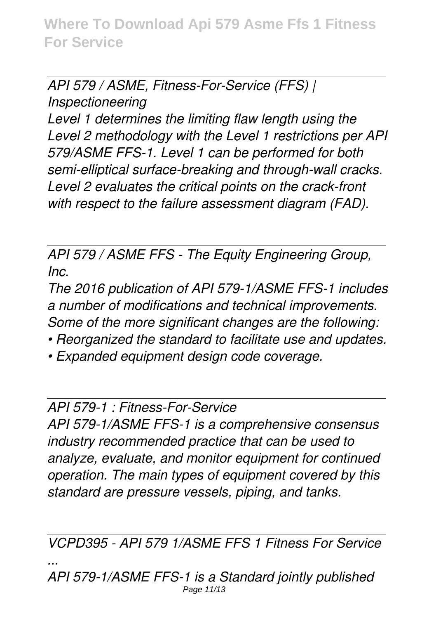*API 579 / ASME, Fitness-For-Service (FFS) |*

*Inspectioneering*

*Level 1 determines the limiting flaw length using the Level 2 methodology with the Level 1 restrictions per API 579/ASME FFS-1. Level 1 can be performed for both semi-elliptical surface-breaking and through-wall cracks. Level 2 evaluates the critical points on the crack-front with respect to the failure assessment diagram (FAD).*

*API 579 / ASME FFS - The Equity Engineering Group, Inc.*

*The 2016 publication of API 579-1/ASME FFS-1 includes a number of modifications and technical improvements. Some of the more significant changes are the following:*

- *Reorganized the standard to facilitate use and updates.*
- *Expanded equipment design code coverage.*

*API 579-1 : Fitness-For-Service*

*API 579-1/ASME FFS-1 is a comprehensive consensus industry recommended practice that can be used to analyze, evaluate, and monitor equipment for continued operation. The main types of equipment covered by this standard are pressure vessels, piping, and tanks.*

*VCPD395 - API 579 1/ASME FFS 1 Fitness For Service ... API 579-1/ASME FFS-1 is a Standard jointly published*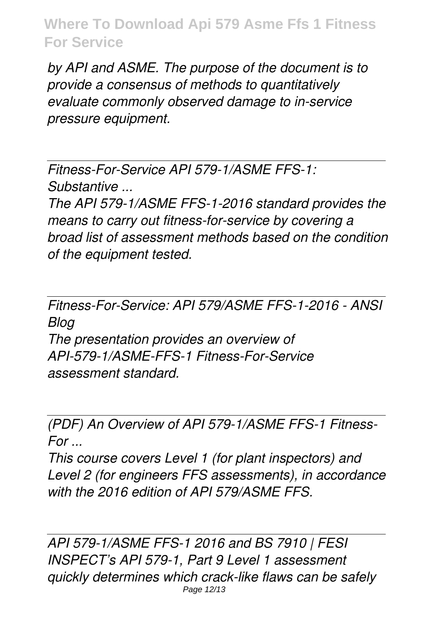*by API and ASME. The purpose of the document is to provide a consensus of methods to quantitatively evaluate commonly observed damage to in-service pressure equipment.*

*Fitness-For-Service API 579-1/ASME FFS-1: Substantive ...*

*The API 579-1/ASME FFS-1-2016 standard provides the means to carry out fitness-for-service by covering a broad list of assessment methods based on the condition of the equipment tested.*

*Fitness-For-Service: API 579/ASME FFS-1-2016 - ANSI Blog The presentation provides an overview of API-579-1/ASME-FFS-1 Fitness-For-Service assessment standard.*

*(PDF) An Overview of API 579-1/ASME FFS-1 Fitness-For ...*

*This course covers Level 1 (for plant inspectors) and Level 2 (for engineers FFS assessments), in accordance with the 2016 edition of API 579/ASME FFS.*

*API 579-1/ASME FFS-1 2016 and BS 7910 | FESI INSPECT's API 579-1, Part 9 Level 1 assessment quickly determines which crack-like flaws can be safely* Page 12/13